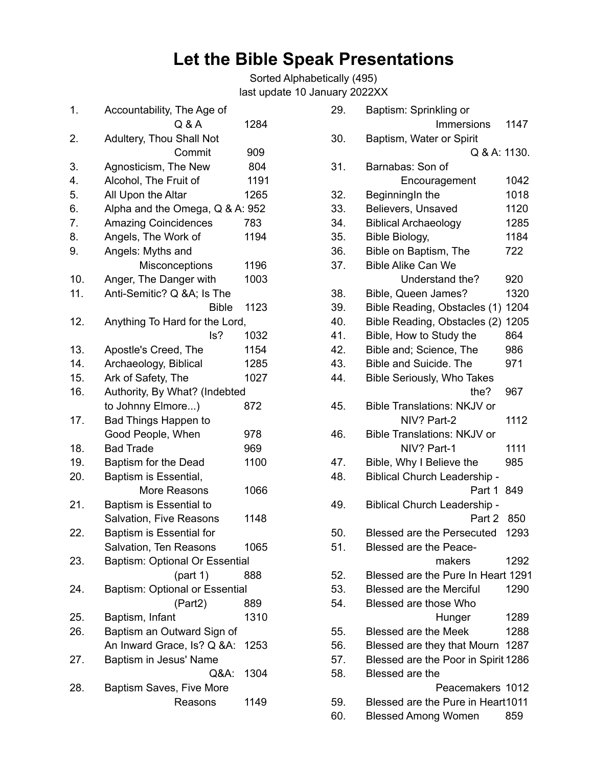# **Let the Bible Speak Presentations**

Sorted Alphabetically (495) last update 10 January 2022XX

| 1.  | Accountability, The Age of      |      |
|-----|---------------------------------|------|
|     | Q & A                           | 1284 |
| 2.  | Adultery, Thou Shall Not        |      |
|     | Commit                          | 909  |
| 3.  | Agnosticism, The New            | 804  |
| 4.  | Alcohol, The Fruit of           | 1191 |
| 5.  | All Upon the Altar              | 1265 |
| 6.  | Alpha and the Omega, Q & A: 952 |      |
| 7.  | <b>Amazing Coincidences</b>     | 783  |
| 8.  | Angels, The Work of             | 1194 |
| 9.  | Angels: Myths and               |      |
|     | Misconceptions                  | 1196 |
| 10. | Anger, The Danger with          | 1003 |
| 11. | Anti-Semitic? Q &A Is The       |      |
|     | <b>Bible</b>                    | 1123 |
| 12. | Anything To Hard for the Lord,  |      |
|     | ls?                             | 1032 |
| 13. | Apostle's Creed, The            | 1154 |
| 14. | Archaeology, Biblical           | 1285 |
| 15. | Ark of Safety, The              | 1027 |
| 16. | Authority, By What? (Indebted   |      |
|     | to Johnny Elmore)               | 872  |
| 17. | <b>Bad Things Happen to</b>     |      |
|     | Good People, When               | 978  |
| 18. | <b>Bad Trade</b>                | 969  |
| 19. | Baptism for the Dead            | 1100 |
| 20. | Baptism is Essential,           |      |
|     | More Reasons                    | 1066 |
| 21. | Baptism is Essential to         |      |
|     | Salvation, Five Reasons         | 1148 |
| 22. | Baptism is Essential for        |      |
|     | Salvation, Ten Reasons          | 1065 |
| 23. | Baptism: Optional Or Essential  |      |
|     | (part 1)                        | 888  |
| 24. | Baptism: Optional or Essential  |      |
|     | (Part2)                         | 889  |
| 25. | Baptism, Infant                 | 1310 |
| 26. | Baptism an Outward Sign of      |      |
|     | An Inward Grace, Is? Q &A:      | 1253 |
| 27. | Baptism in Jesus' Name          |      |
|     | Q&A:                            | 1304 |
| 28. | Baptism Saves, Five More        |      |
|     | Reasons                         | 1149 |
|     |                                 |      |

| 29. | Baptism: Sprinkling or              |      |
|-----|-------------------------------------|------|
|     | <b>Immersions</b>                   | 1147 |
| 30. | Baptism, Water or Spirit            |      |
|     | Q & A: 1130.                        |      |
| 31. | Barnabas: Son of                    |      |
|     | Encouragement                       | 1042 |
| 32. | BeginningIn the                     | 1018 |
| 33. | Believers, Unsaved                  | 1120 |
| 34. | <b>Biblical Archaeology</b>         | 1285 |
| 35. | Bible Biology,                      | 1184 |
| 36. | Bible on Baptism, The               | 722  |
| 37. | <b>Bible Alike Can We</b>           |      |
|     | Understand the?                     | 920  |
| 38. | Bible, Queen James?                 | 1320 |
| 39. | Bible Reading, Obstacles (1)        | 1204 |
| 40. | Bible Reading, Obstacles (2)        | 1205 |
| 41. | Bible, How to Study the             | 864  |
| 42. | Bible and; Science, The             | 986  |
| 43. | <b>Bible and Suicide. The</b>       | 971  |
| 44. | <b>Bible Seriously, Who Takes</b>   |      |
|     | the?                                | 967  |
| 45. | <b>Bible Translations: NKJV or</b>  |      |
|     | NIV? Part-2                         | 1112 |
| 46. | <b>Bible Translations: NKJV or</b>  |      |
|     | NIV? Part-1                         | 1111 |
| 47. | Bible, Why I Believe the            | 985  |
| 48. | <b>Biblical Church Leadership -</b> |      |
|     | Part 1                              | 849  |
| 49. | <b>Biblical Church Leadership -</b> |      |
|     | Part 2                              | 850  |
| 50. | <b>Blessed are the Persecuted</b>   | 1293 |
| 51. | <b>Blessed are the Peace-</b>       |      |
|     | makers                              | 1292 |
| 52. | Blessed are the Pure In Heart 1291  |      |
| 53. | <b>Blessed are the Merciful</b>     | 1290 |
| 54. | Blessed are those Who               |      |
|     | Hunger                              | 1289 |
| 55. | <b>Blessed are the Meek</b>         | 1288 |
| 56. | Blessed are they that Mourn         | 1287 |
| 57. | Blessed are the Poor in Spirit 1286 |      |
| 58. | Blessed are the                     |      |
|     | Peacemakers 1012                    |      |
| 59. | Blessed are the Pure in Heart1011   |      |
| 60. | <b>Blessed Among Women</b>          | 859  |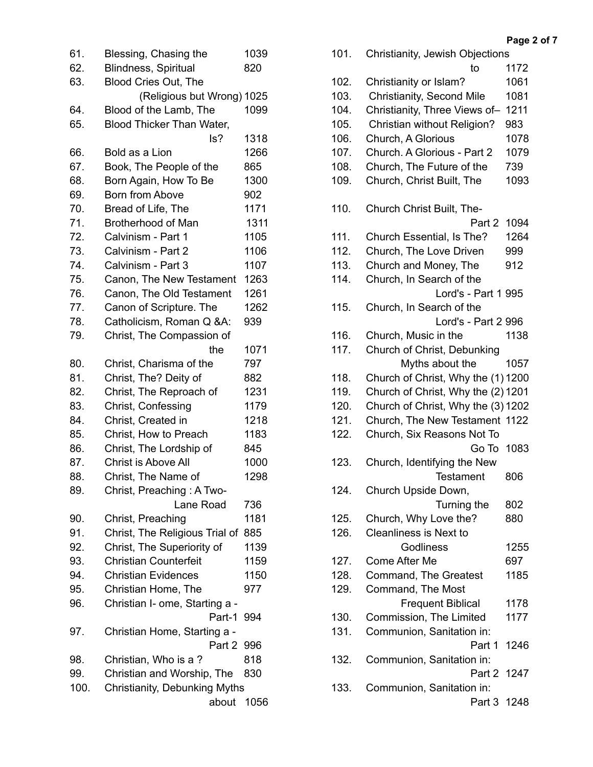| 61.  | Blessing, Chasing the          | 1039 |
|------|--------------------------------|------|
| 62.  | <b>Blindness, Spiritual</b>    | 820  |
| 63.  | Blood Cries Out, The           |      |
|      | (Religious but Wrong) 1025     |      |
| 64.  | Blood of the Lamb, The         | 1099 |
| 65.  | Blood Thicker Than Water,      |      |
|      | ls?                            | 1318 |
| 66.  | Bold as a Lion                 | 1266 |
| 67.  | Book, The People of the        | 865  |
| 68.  | Born Again, How To Be          | 1300 |
| 69.  | <b>Born from Above</b>         | 902  |
| 70.  | Bread of Life, The             | 1171 |
| 71.  | <b>Brotherhood of Man</b>      | 1311 |
| 72.  | Calvinism - Part 1             | 1105 |
| 73.  | Calvinism - Part 2             | 1106 |
| 74.  | Calvinism - Part 3             | 1107 |
| 75.  | Canon, The New Testament       | 1263 |
| 76.  | Canon, The Old Testament       | 1261 |
| 77.  | Canon of Scripture. The        | 1262 |
| 78.  | Catholicism, Roman Q &A:       | 939  |
| 79.  | Christ, The Compassion of      |      |
|      | the                            | 1071 |
| 80.  | Christ, Charisma of the        | 797  |
| 81.  | Christ, The? Deity of          | 882  |
| 82.  | Christ, The Reproach of        | 1231 |
| 83.  | Christ, Confessing             | 1179 |
| 84.  | Christ, Created in             | 1218 |
| 85.  | Christ, How to Preach          | 1183 |
| 86.  | Christ, The Lordship of        | 845  |
| 87.  | Christ is Above All            | 1000 |
| 88.  | Christ, The Name of            | 1298 |
| 89.  | Christ, Preaching: A Two-      |      |
|      | Lane Road                      | 736  |
| 90.  | Christ, Preaching              | 1181 |
| 91.  | Christ, The Religious Trial of | 885  |
| 92.  | Christ, The Superiority of     | 1139 |
| 93.  | <b>Christian Counterfeit</b>   | 1159 |
| 94.  | <b>Christian Evidences</b>     | 1150 |
| 95.  | Christian Home, The            | 977  |
| 96.  | Christian I- ome, Starting a - |      |
|      | Part-1                         | 994  |
| 97.  | Christian Home, Starting a -   |      |
|      | Part 2                         | 996  |
| 98.  | Christian, Who is a?           | 818  |
| 99.  | Christian and Worship, The     | 830  |
| 100. | Christianity, Debunking Myths  |      |
|      | about 1056                     |      |

| 101. | Christianity, Jewish Objections    |      |
|------|------------------------------------|------|
|      | to                                 | 1172 |
| 102. | Christianity or Islam?             | 1061 |
| 103. | Christianity, Second Mile          | 1081 |
| 104. | Christianity, Three Views of-      | 1211 |
| 105. | Christian without Religion?        | 983  |
| 106. | Church, A Glorious                 | 1078 |
| 107. | Church. A Glorious - Part 2        | 1079 |
| 108. | Church, The Future of the          | 739  |
| 109. | Church, Christ Built, The          | 1093 |
|      |                                    |      |
| 110. | Church Christ Built, The-          |      |
|      | Part 2                             | 1094 |
|      |                                    |      |
| 111. | Church Essential, Is The?          | 1264 |
| 112. | Church, The Love Driven            | 999  |
| 113. | Church and Money, The              | 912  |
| 114. | Church, In Search of the           |      |
|      | Lord's - Part 1 995                |      |
| 115. | Church, In Search of the           |      |
|      | Lord's - Part 2 996                |      |
| 116. | Church, Music in the               | 1138 |
| 117. | Church of Christ, Debunking        |      |
|      | Myths about the                    | 1057 |
| 118. | Church of Christ, Why the (1) 1200 |      |
| 119. | Church of Christ, Why the (2) 1201 |      |
| 120. | Church of Christ, Why the (3) 1202 |      |
| 121. | Church, The New Testament 1122     |      |
| 122. | Church, Six Reasons Not To         |      |
|      | Go To                              | 1083 |
| 123. | Church, Identifying the New        |      |
|      | <b>Testament</b>                   | 806  |
| 124. | Church Upside Down,                |      |
|      | Turning the                        | 802  |
| 125. | Church, Why Love the?              | 880  |
| 126. | Cleanliness is Next to             |      |
|      | Godliness                          | 1255 |
| 127. | Come After Me                      | 697  |
| 128. | Command, The Greatest              | 1185 |
| 129. | Command, The Most                  |      |
|      | <b>Frequent Biblical</b>           | 1178 |
| 130. | Commission, The Limited            | 1177 |
| 131. | Communion, Sanitation in:          |      |
|      | Part 1                             | 1246 |
| 132. | Communion, Sanitation in:          |      |
|      | Part 2 1247                        |      |
| 133. | Communion, Sanitation in:          |      |
|      | Part 3 1248                        |      |
|      |                                    |      |

### **Page 2 of 7**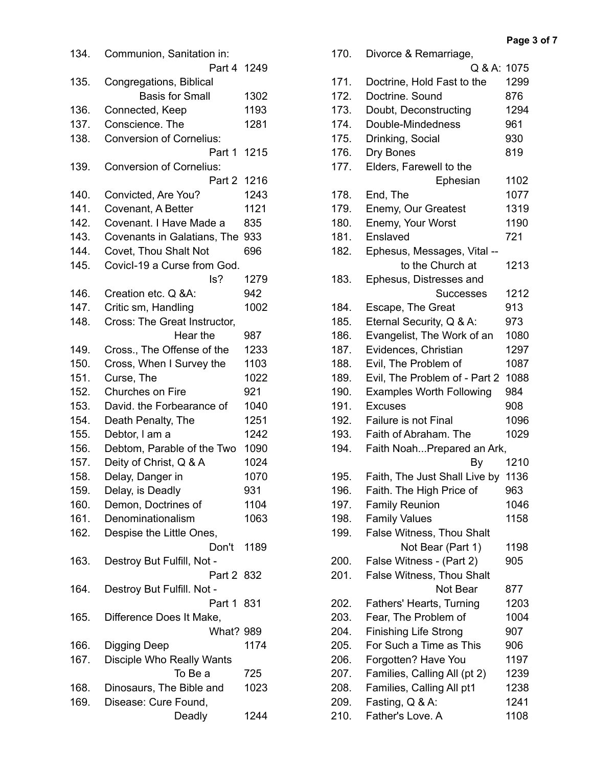| 134. | Communion, Sanitation in:       |      |
|------|---------------------------------|------|
|      | Part 4 1249                     |      |
| 135. | Congregations, Biblical         |      |
|      | <b>Basis for Small</b>          | 1302 |
| 136. | Connected, Keep                 | 1193 |
| 137. | Conscience. The                 | 1281 |
| 138. | <b>Conversion of Cornelius:</b> |      |
|      | Part 1                          | 1215 |
| 139. | <b>Conversion of Cornelius:</b> |      |
|      | Part 2                          | 1216 |
| 140. | Convicted, Are You?             | 1243 |
| 141. | Covenant, A Better              | 1121 |
| 142. | Covenant. I Have Made a         | 835  |
| 143. | Covenants in Galatians, The     | 933  |
| 144. | Covet, Thou Shalt Not           | 696  |
| 145. | Covicl-19 a Curse from God.     |      |
|      | ls?                             | 1279 |
| 146. | Creation etc. Q &A:             | 942  |
| 147. |                                 |      |
|      | Critic sm, Handling             | 1002 |
| 148. | Cross: The Great Instructor,    |      |
|      | Hear the                        | 987  |
| 149. | Cross., The Offense of the      | 1233 |
| 150. | Cross, When I Survey the        | 1103 |
| 151. | Curse, The                      | 1022 |
| 152. | Churches on Fire                | 921  |
| 153. | David. the Forbearance of       | 1040 |
| 154. | Death Penalty, The              | 1251 |
| 155. | Debtor, I am a                  | 1242 |
| 156. | Debtom, Parable of the Two      | 1090 |
| 157. | Deity of Christ, Q & A          | 1024 |
| 158. | Delay, Danger in                | 1070 |
| 159. | Delay, is Deadly                | 931  |
| 160. | Demon, Doctrines of             | 1104 |
| 161. | Denominationalism               | 1063 |
| 162. | Despise the Little Ones,        |      |
|      | Don't                           | 1189 |
| 163. | Destroy But Fulfill, Not -      |      |
|      | Part 2 832                      |      |
| 164. | Destroy But Fulfill. Not -      |      |
|      | Part 1                          | -831 |
| 165. | Difference Does It Make,        |      |
|      | <b>What? 989</b>                |      |
| 166. |                                 | 1174 |
|      | <b>Digging Deep</b>             |      |
| 167. | Disciple Who Really Wants       |      |
|      | To Be a                         | 725  |
| 168. | Dinosaurs, The Bible and        | 1023 |
| 169. | Disease: Cure Found,            |      |
|      | Deadly                          | 1244 |

| 170. | Divorce & Remarriage,           |      |
|------|---------------------------------|------|
|      | Q & A: 1075                     |      |
| 171. | Doctrine, Hold Fast to the      | 1299 |
| 172. | Doctrine. Sound                 | 876  |
| 173. | Doubt, Deconstructing           | 1294 |
| 174. | Double-Mindedness               | 961  |
| 175. | Drinking, Social                | 930  |
| 176. | Dry Bones                       | 819  |
| 177. | Elders, Farewell to the         |      |
|      | Ephesian                        | 1102 |
| 178. | End, The                        | 1077 |
| 179. | Enemy, Our Greatest             | 1319 |
| 180. | Enemy, Your Worst               | 1190 |
| 181. | Enslaved                        | 721  |
|      |                                 |      |
| 182. | Ephesus, Messages, Vital --     |      |
|      | to the Church at                | 1213 |
| 183. | Ephesus, Distresses and         |      |
|      | <b>Successes</b>                | 1212 |
| 184. | Escape, The Great               | 913  |
| 185. | Eternal Security, Q & A:        | 973  |
| 186. | Evangelist, The Work of an      | 1080 |
| 187. | Evidences, Christian            | 1297 |
| 188. | Evil, The Problem of            | 1087 |
| 189. | Evil, The Problem of - Part 2   | 1088 |
| 190. | <b>Examples Worth Following</b> | 984  |
| 191. | <b>Excuses</b>                  | 908  |
| 192. | Failure is not Final            | 1096 |
| 193. | Faith of Abraham. The           | 1029 |
| 194. | Faith NoahPrepared an Ark,      |      |
|      | By                              | 1210 |
| 195. | Faith, The Just Shall Live by   | 1136 |
| 196. | Faith. The High Price of        | 963  |
| 197. | <b>Family Reunion</b>           | 1046 |
| 198. | <b>Family Values</b>            | 1158 |
| 199. | False Witness, Thou Shalt       |      |
|      | Not Bear (Part 1)               | 1198 |
| 200. | False Witness - (Part 2)        | 905  |
| 201. | False Witness, Thou Shalt       |      |
|      | Not Bear                        | 877  |
| 202. | Fathers' Hearts, Turning        | 1203 |
| 203. | Fear, The Problem of            | 1004 |
| 204. | <b>Finishing Life Strong</b>    | 907  |
| 205. | For Such a Time as This         | 906  |
| 206. | Forgotten? Have You             | 1197 |
| 207. | Families, Calling All (pt 2)    | 1239 |
| 208. | Families, Calling All pt1       | 1238 |
| 209. | Fasting, Q & A:                 | 1241 |
| 210. | Father's Love. A                | 1108 |
|      |                                 |      |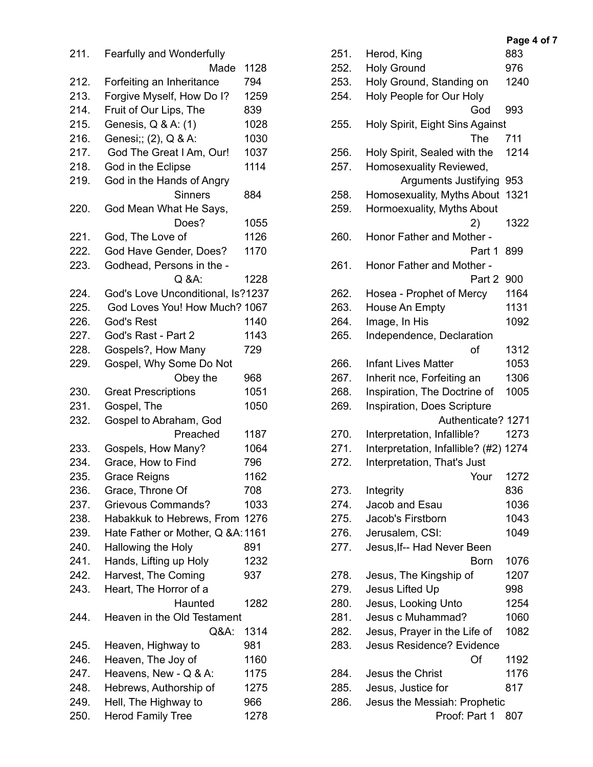| 211. | Fearfully and Wonderfully         |      |
|------|-----------------------------------|------|
|      | Made                              | 1128 |
| 212. | Forfeiting an Inheritance         | 794  |
| 213. | Forgive Myself, How Do I?         | 1259 |
| 214. | Fruit of Our Lips, The            | 839  |
| 215. | Genesis, Q & A: (1)               | 1028 |
| 216. | Genesi;; (2), Q & A:              | 1030 |
| 217. | God The Great I Am, Our!          | 1037 |
| 218. | God in the Eclipse                | 1114 |
| 219. | God in the Hands of Angry         |      |
|      | <b>Sinners</b>                    | 884  |
| 220. | God Mean What He Says,            |      |
|      | Does?                             | 1055 |
| 221. | God, The Love of                  | 1126 |
| 222. | God Have Gender, Does?            | 1170 |
| 223. | Godhead, Persons in the -         |      |
|      | $Q$ &A:                           | 1228 |
| 224. | God's Love Unconditional, Is?1237 |      |
| 225. | God Loves You! How Much? 1067     |      |
| 226. | God's Rest                        | 1140 |
| 227. | God's Rast - Part 2               | 1143 |
| 228. | Gospels?, How Many                | 729  |
| 229. | Gospel, Why Some Do Not           |      |
|      | Obey the                          | 968  |
| 230. | <b>Great Prescriptions</b>        | 1051 |
| 231. | Gospel, The                       | 1050 |
| 232. | Gospel to Abraham, God            |      |
|      | Preached                          | 1187 |
| 233. | Gospels, How Many?                | 1064 |
| 234. | Grace, How to Find                | 796  |
| 235. | Grace Reigns                      | 1162 |
| 236. | Grace, Throne Of                  | 708  |
| 237. | <b>Grievous Commands?</b>         | 1033 |
| 238. | Habakkuk to Hebrews, From         | 1276 |
| 239. | Hate Father or Mother, Q &A: 1161 |      |
| 240. | Hallowing the Holy                | 891  |
| 241. | Hands, Lifting up Holy            | 1232 |
| 242. | Harvest, The Coming               | 937  |
| 243. | Heart, The Horror of a            |      |
|      | Haunted                           | 1282 |
| 244. | Heaven in the Old Testament       |      |
|      | Q&A:                              | 1314 |
| 245. | Heaven, Highway to                | 981  |
| 246. | Heaven, The Joy of                | 1160 |
| 247. | Heavens, New - Q & A:             | 1175 |
| 248. | Hebrews, Authorship of            | 1275 |
| 249. | Hell, The Highway to              | 966  |
|      |                                   | 1278 |
| 250. | <b>Herod Family Tree</b>          |      |

| 251. | Herod, King                           | 883  |
|------|---------------------------------------|------|
| 252. | <b>Holy Ground</b>                    | 976  |
| 253. | Holy Ground, Standing on              | 1240 |
| 254. | Holy People for Our Holy              |      |
|      | God                                   | 993  |
| 255. | Holy Spirit, Eight Sins Against       |      |
|      | The                                   | 711  |
| 256. | Holy Spirit, Sealed with the          | 1214 |
| 257. | Homosexuality Reviewed,               |      |
|      | <b>Arguments Justifying</b>           | 953  |
| 258. | Homosexuality, Myths About            | 1321 |
| 259. | Hormoexuality, Myths About            |      |
|      | 2)                                    | 1322 |
| 260. | Honor Father and Mother -             |      |
|      | Part 1                                | 899  |
| 261. | Honor Father and Mother -             |      |
|      | Part 2                                | 900  |
| 262. | Hosea - Prophet of Mercy              | 1164 |
| 263. | House An Empty                        | 1131 |
| 264. | Image, In His                         | 1092 |
| 265. | Independence, Declaration             |      |
|      | of                                    | 1312 |
| 266. | <b>Infant Lives Matter</b>            | 1053 |
| 267. |                                       | 1306 |
|      | Inherit nce, Forfeiting an            |      |
| 268. | Inspiration, The Doctrine of          | 1005 |
| 269. | Inspiration, Does Scripture           |      |
|      | Authenticate? 1271                    |      |
| 270. | Interpretation, Infallible?           | 1273 |
| 271. | Interpretation, Infallible? (#2) 1274 |      |
| 272. | Interpretation, That's Just           |      |
|      | Your                                  | 1272 |
| 273. | Integrity                             | 836  |
| 274. | Jacob and Esau                        | 1036 |
| 275. | Jacob's Firstborn                     | 1043 |
| 276. | Jerusalem, CSI:                       | 1049 |
| 277. | Jesus, If-- Had Never Been            |      |
|      | Born                                  | 1076 |
| 278. | Jesus, The Kingship of                | 1207 |
| 279. | Jesus Lifted Up                       | 998  |
| 280. | Jesus, Looking Unto                   | 1254 |
| 281. | Jesus c Muhammad?                     | 1060 |
| 282. | Jesus, Prayer in the Life of          | 1082 |
| 283. | <b>Jesus Residence? Evidence</b>      |      |
|      | Of                                    | 1192 |
| 284. | <b>Jesus the Christ</b>               | 1176 |
| 285. | Jesus, Justice for                    | 817  |
| 286. | Jesus the Messiah: Prophetic          |      |
|      | Proof: Part 1                         | 807  |

#### **Page 4 of 7**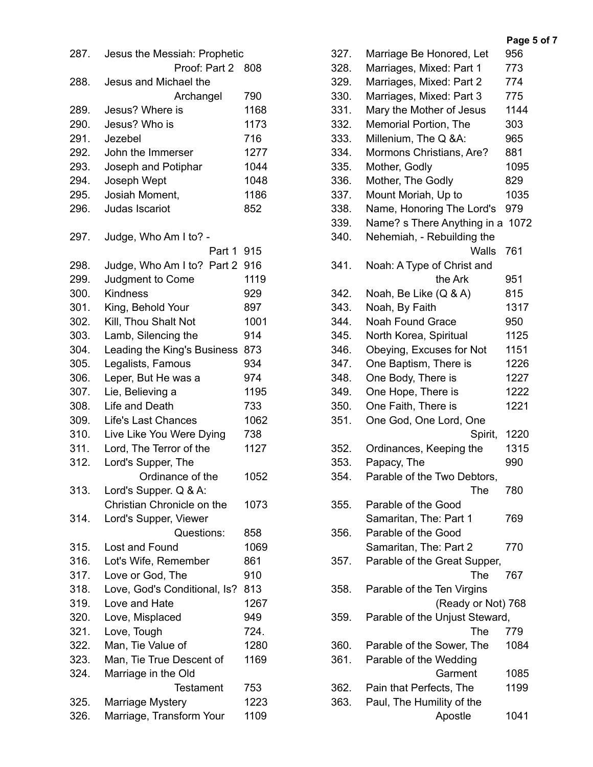| 287. | Jesus the Messiah: Prophetic |      |
|------|------------------------------|------|
|      | Proof: Part 2                | 808  |
| 288. | Jesus and Michael the        |      |
|      | Archangel                    | 790  |
| 289. | Jesus? Where is              | 1168 |
| 290. | Jesus? Who is                | 1173 |
| 291. | Jezebel                      | 716  |
| 292. | John the Immerser            | 1277 |
| 293. | Joseph and Potiphar          | 1044 |
| 294. | Joseph Wept                  | 1048 |
| 295. | Josiah Moment,               | 1186 |
| 296. | Judas Iscariot               | 852  |
| 297. | Judge, Who Am I to? -        |      |
|      | Part 1                       | 915  |
| 298. | Judge, Who Am I to? Part 2   | 916  |
| 299. | Judgment to Come             | 1119 |
| 300. | <b>Kindness</b>              | 929  |
| 301. | King, Behold Your            | 897  |
| 302. | Kill, Thou Shalt Not         | 1001 |
| 303. | Lamb, Silencing the          | 914  |
| 304. | Leading the King's Business  | 873  |
| 305. | Legalists, Famous            | 934  |
| 306. | Leper, But He was a          | 974  |
| 307. | Lie, Believing a             | 1195 |
| 308. | Life and Death               | 733  |
| 309. | <b>Life's Last Chances</b>   | 1062 |
| 310. | Live Like You Were Dying     | 738  |
| 311. | Lord, The Terror of the      | 1127 |
| 312. | Lord's Supper, The           |      |
|      | Ordinance of the             | 1052 |
| 313. | Lord's Supper. Q & A:        |      |
|      | Christian Chronicle on the   | 1073 |
| 314. | Lord's Supper, Viewer        |      |
|      | Questions:                   | 858  |
| 315. | Lost and Found               | 1069 |
| 316. | Lot's Wife, Remember         | 861  |
| 317. |                              |      |
|      | Love or God, The             | 910  |
| 318. | Love, God's Conditional, Is? | 813  |
| 319. | Love and Hate                | 1267 |
| 320. | Love, Misplaced              | 949  |
| 321. | Love, Tough                  | 724. |
| 322. | Man, Tie Value of            | 1280 |
| 323. | Man, Tie True Descent of     | 1169 |
| 324. | Marriage in the Old          |      |
|      | <b>Testament</b>             | 753  |
| 325. | Marriage Mystery             | 1223 |
| 326. | Marriage, Transform Your     | 1109 |

| 327. | Marriage Be Honored, Let       | 956  |
|------|--------------------------------|------|
| 328. | Marriages, Mixed: Part 1       | 773  |
| 329. | Marriages, Mixed: Part 2       | 774  |
| 330. | Marriages, Mixed: Part 3       | 775  |
| 331. | Mary the Mother of Jesus       | 1144 |
| 332. | Memorial Portion, The          | 303  |
| 333. | Millenium, The Q &A:           | 965  |
| 334. | Mormons Christians, Are?       | 881  |
| 335. | Mother, Godly                  | 1095 |
| 336. | Mother, The Godly              | 829  |
| 337. | Mount Moriah, Up to            | 1035 |
| 338. | Name, Honoring The Lord's      | 979  |
| 339. | Name? s There Anything in a    | 1072 |
| 340. | Nehemiah, - Rebuilding the     |      |
|      | <b>Walls</b>                   | 761  |
| 341. | Noah: A Type of Christ and     |      |
|      | the Ark                        | 951  |
|      |                                |      |
| 342. | Noah, Be Like (Q & A)          | 815  |
| 343. | Noah, By Faith                 | 1317 |
| 344. | <b>Noah Found Grace</b>        | 950  |
| 345. | North Korea, Spiritual         | 1125 |
| 346. | Obeying, Excuses for Not       | 1151 |
| 347. | One Baptism, There is          | 1226 |
| 348. | One Body, There is             | 1227 |
| 349. | One Hope, There is             | 1222 |
| 350. | One Faith, There is            | 1221 |
| 351. | One God, One Lord, One         |      |
|      | Spirit,                        | 1220 |
| 352. | Ordinances, Keeping the        | 1315 |
| 353. | Papacy, The                    | 990  |
| 354. | Parable of the Two Debtors,    |      |
|      | The                            | 780  |
| 355. | Parable of the Good            |      |
|      | Samaritan, The: Part 1         | 769  |
| 356. | Parable of the Good            |      |
|      | Samaritan, The: Part 2         | 770  |
| 357. | Parable of the Great Supper,   |      |
|      | The                            | 767  |
| 358. | Parable of the Ten Virgins     |      |
|      | (Ready or Not) 768             |      |
| 359. | Parable of the Unjust Steward, |      |
|      | The                            | 779  |
| 360. | Parable of the Sower, The      | 1084 |
| 361. | Parable of the Wedding         |      |
|      | Garment                        | 1085 |
| 362. | Pain that Perfects, The        | 1199 |
| 363. | Paul, The Humility of the      |      |
|      | Apostle                        | 1041 |
|      |                                |      |

## **Page 5 of 7**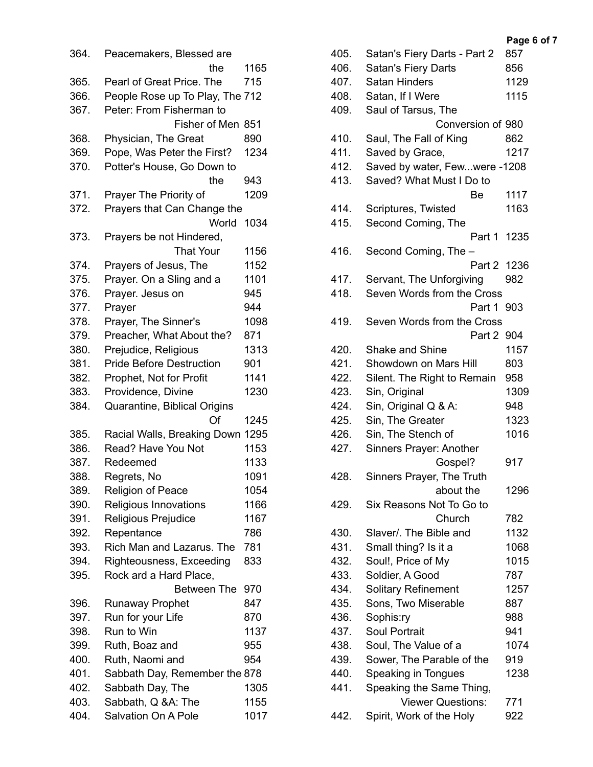| 364. | Peacemakers, Blessed are        |      |
|------|---------------------------------|------|
|      | the                             | 1165 |
| 365. | Pearl of Great Price. The       | 715  |
| 366. | People Rose up To Play, The 712 |      |
| 367. | Peter: From Fisherman to        |      |
|      | Fisher of Men                   | 851  |
| 368. | Physician, The Great            | 890  |
| 369. | Pope, Was Peter the First?      | 1234 |
| 370. | Potter's House, Go Down to      |      |
|      | the                             | 943  |
| 371. | Prayer The Priority of          | 1209 |
| 372. | Prayers that Can Change the     |      |
|      | World                           | 1034 |
| 373. | Prayers be not Hindered,        |      |
|      | <b>That Your</b>                | 1156 |
| 374. | Prayers of Jesus, The           | 1152 |
| 375. | Prayer. On a Sling and a        | 1101 |
| 376. | Prayer. Jesus on                | 945  |
| 377. | Prayer                          | 944  |
| 378. | Prayer, The Sinner's            | 1098 |
| 379. | Preacher, What About the?       | 871  |
| 380. | Prejudice, Religious            | 1313 |
| 381. | <b>Pride Before Destruction</b> | 901  |
| 382. | Prophet, Not for Profit         | 1141 |
| 383. | Providence, Divine              | 1230 |
| 384. | Quarantine, Biblical Origins    |      |
|      | Of                              | 1245 |
| 385. | Racial Walls, Breaking Down     | 1295 |
| 386. | Read? Have You Not              | 1153 |
| 387. | Redeemed                        | 1133 |
| 388  | Regrets, No                     | 1091 |
| 389. | <b>Religion of Peace</b>        | 1054 |
| 390. | Religious Innovations           | 1166 |
| 391. | Religious Prejudice             | 1167 |
| 392. | Repentance                      | 786  |
| 393. | Rich Man and Lazarus. The       | 781  |
| 394. | Righteousness, Exceeding        | 833  |
| 395. | Rock ard a Hard Place,          |      |
|      | <b>Between The</b>              | 970  |
| 396. | <b>Runaway Prophet</b>          | 847  |
| 397. | Run for your Life               | 870  |
| 398. | Run to Win                      | 1137 |
| 399. | Ruth, Boaz and                  | 955  |
| 400. | Ruth, Naomi and                 | 954  |
| 401. | Sabbath Day, Remember the 878   |      |
| 402. | Sabbath Day, The                | 1305 |
| 403. | Sabbath, Q &A: The              | 1155 |
| 404. | Salvation On A Pole             | 1017 |

| 405. | Satan's Fiery Darts - Part 2  | 857  |
|------|-------------------------------|------|
| 406. | Satan's Fiery Darts           | 856  |
| 407. | <b>Satan Hinders</b>          | 1129 |
| 408. | Satan, If I Were              | 1115 |
| 409. | Saul of Tarsus, The           |      |
|      | Conversion of 980             |      |
| 410. | Saul, The Fall of King        | 862  |
| 411. | Saved by Grace,               | 1217 |
| 412. | Saved by water, Fewwere -1208 |      |
| 413. | Saved? What Must I Do to      |      |
|      |                               | 1117 |
|      | Be                            | 1163 |
| 414. | Scriptures, Twisted           |      |
| 415. | Second Coming, The            |      |
|      | Part 1                        | 1235 |
| 416. | Second Coming, The -          |      |
|      | Part 2                        | 1236 |
| 417. | Servant, The Unforgiving      | 982  |
| 418. | Seven Words from the Cross    |      |
|      | Part 1                        | 903  |
| 419. | Seven Words from the Cross    |      |
|      | Part 2                        | 904  |
| 420. | <b>Shake and Shine</b>        | 1157 |
| 421. | Showdown on Mars Hill         | 803  |
| 422. | Silent. The Right to Remain   | 958  |
| 423. | Sin, Original                 | 1309 |
| 424. | Sin, Original Q & A:          | 948  |
| 425. | Sin, The Greater              | 1323 |
| 426. | Sin, The Stench of            | 1016 |
| 427. | Sinners Prayer: Another       |      |
|      | Gospel?                       | 917  |
| 428. | Sinners Prayer, The Truth     |      |
|      | about the                     | 1296 |
| 429. | Six Reasons Not To Go to      |      |
|      | Church                        | 782  |
| 430. | Slaver/. The Bible and        | 1132 |
| 431. | Small thing? Is it a          | 1068 |
| 432. | Soul!, Price of My            | 1015 |
| 433. | Soldier, A Good               | 787  |
| 434. | <b>Solitary Refinement</b>    | 1257 |
| 435. | Sons, Two Miserable           | 887  |
| 436. | Sophis:ry                     | 988  |
| 437. | <b>Soul Portrait</b>          | 941  |
|      |                               |      |
| 438. | Soul, The Value of a          | 1074 |
| 439. | Sower, The Parable of the     | 919  |
| 440. | Speaking in Tongues           | 1238 |
| 441. | Speaking the Same Thing,      |      |
|      | <b>Viewer Questions:</b>      | 771  |
| 442. | Spirit, Work of the Holy      | 922  |

## **Page 6 of 7**